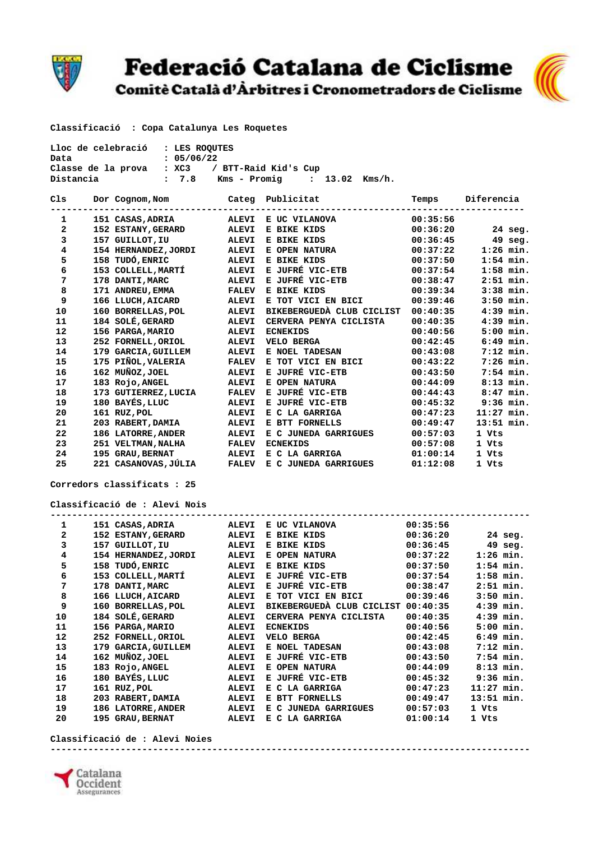

## Federació Catalana de Ciclisme

Comitè Català d'Àrbitres i Cronometradors de Ciclisme



 **Classificació : Copa Catalunya Les Roquetes** 

| Lloc de celebració : LES ROOUTES |            |                                |  |        |
|----------------------------------|------------|--------------------------------|--|--------|
| Data                             | : 05/06/22 |                                |  |        |
| Classe de la prova               |            | : XC3 / BTT-Raid Kid's Cup     |  |        |
| Distancia                        | : 7.8      | Kms – Promig        :    13.02 |  | Kms/h. |

| C1s | Dor Cognom, Nom                             |              | Categ Publicitat                               | Temps    | Diferencia   |
|-----|---------------------------------------------|--------------|------------------------------------------------|----------|--------------|
| 1   | -----------------------<br>151 CASAS, ADRIA | <b>ALEVI</b> | -----------------------------<br>E UC VILANOVA | 00:35:56 |              |
| 2   | <b>152 ESTANY, GERARD</b>                   | <b>ALEVI</b> | E BIKE KIDS                                    | 00:36:20 | $24$ seq.    |
| 3   | 157 GUILLOT, IU                             | <b>ALEVI</b> | E BIKE KIDS                                    | 00:36:45 | $49$ seg.    |
| 4   | 154 HERNANDEZ, JORDI                        | <b>ALEVI</b> | E OPEN NATURA                                  | 00:37:22 | $1:26$ min.  |
| 5   | 158 TUDÓ, ENRIC                             | <b>ALEVI</b> | E BIKE KIDS                                    | 00:37:50 | $1:54$ min.  |
| 6   | 153 COLLELL, MARTÍ                          | <b>ALEVI</b> | E JUFRÉ VIC-ETB                                | 00:37:54 | $1:58$ min.  |
| 7   | 178 DANTI, MARC                             | <b>ALEVI</b> | E JUFRÉ VIC-ETB                                | 00:38:47 | $2:51$ min.  |
| 8   | 171 ANDREU, EMMA                            | <b>FALEV</b> | E BIKE KIDS                                    | 00:39:34 | $3:38$ min.  |
| 9   | 166 LLUCH, AICARD                           | <b>ALEVI</b> | E TOT VICI EN BICI                             | 00:39:46 | $3:50$ min.  |
| 10  | 160 BORRELLAS, POL                          | <b>ALEVI</b> | BIKEBERGUEDÀ CLUB CICLIST                      | 00:40:35 | $4:39$ min.  |
| 11  | 184 SOLÉ, GERARD                            | <b>ALEVI</b> | CERVERA PENYA CICLISTA                         | 00:40:35 | $4:39$ min.  |
| 12  | 156 PARGA, MARIO                            | <b>ALEVI</b> | <b>ECNEKIDS</b>                                | 00:40:56 | $5:00$ min.  |
| 13  | 252 FORNELL, ORIOL                          | <b>ALEVI</b> | VELO BERGA                                     | 00:42:45 | $6:49$ min.  |
| 14  | 179 GARCIA, GUILLEM                         | <b>ALEVI</b> | E NOEL TADESAN                                 | 00:43:08 | $7:12$ min.  |
| 15  | 175 PIÑOL, VALERIA                          | <b>FALEV</b> | E TOT VICI EN BICI                             | 00:43:22 | $7:26$ min.  |
| 16  | 162 MUÑOZ, JOEL                             | <b>ALEVI</b> | E JUFRÉ VIC-ETB                                | 00:43:50 | 7:54 min.    |
| 17  | 183 Rojo, ANGEL                             | <b>ALEVI</b> | E OPEN NATURA                                  | 00:44:09 | $8:13$ min.  |
| 18  | 173 GUTIERREZ, LUCIA                        | <b>FALEV</b> | E JUFRÉ VIC-ETB                                | 00:44:43 | $8:47$ min.  |
| 19  | 180 BAYÉS, LLUC                             | <b>ALEVI</b> | E JUFRÉ VIC-ETB                                | 00:45:32 | $9:36$ min.  |
| 20  | 161 RUZ, POL                                | <b>ALEVI</b> | E C LA GARRIGA                                 | 00:47:23 | $11:27$ min. |
| 21  | 203 RABERT, DAMIA                           | <b>ALEVI</b> | E BTT FORNELLS                                 | 00:49:47 | $13:51$ min. |
| 22  | 186 LATORRE, ANDER                          | <b>ALEVI</b> | E C JUNEDA GARRIGUES                           | 00:57:03 | 1 Vts        |
| 23  | 251 VELTMAN, NALHA                          | <b>FALEV</b> | <b>ECNEKIDS</b>                                | 00:57:08 | 1 Vts        |
| 24  | 195 GRAU, BERNAT                            | <b>ALEVI</b> | E C LA GARRIGA                                 | 01:00:14 | 1 Vts        |
| 25  | 221 CASANOVAS, JÚLIA                        | <b>FALEV</b> | E C JUNEDA GARRIGUES                           | 01:12:08 | 1 Vts        |

 **Corredors classificats : 25** 

 **Classificació de : Alevi Nois** 

| 1            |     | 151 CASAS, ADRIA       | <b>ALEVI</b> | E UC VILANOVA                      | 00:35:56 |              |
|--------------|-----|------------------------|--------------|------------------------------------|----------|--------------|
| $\mathbf{2}$ |     | 152 ESTANY, GERARD     | <b>ALEVI</b> | E BIKE KIDS                        | 00:36:20 | $24$ seg.    |
| 3            | 157 | GUILLOT, IU            | <b>ALEVI</b> | E BIKE KIDS                        | 00:36:45 | $49$ seg.    |
| 4            | 154 | HERNANDEZ, JORDI       | <b>ALEVI</b> | E OPEN NATURA                      | 00:37:22 | $1:26$ min.  |
| 5            |     | 158 TUDÓ, ENRIC        | <b>ALEVI</b> | E BIKE KIDS                        | 00:37:50 | $1:54$ min.  |
| 6            |     | 153 COLLELL, MARTÍ     | <b>ALEVI</b> | E JUFRÉ VIC-ETB                    | 00:37:54 | $1:58$ min.  |
| 7            | 178 | DANTI, MARC            | <b>ALEVI</b> | E JUFRÉ VIC-ETB                    | 00:38:47 | $2:51$ min.  |
| 8            | 166 | LLUCH, AICARD          | <b>ALEVI</b> | E TOT VICI EN BICI                 | 00:39:46 | $3:50$ min.  |
| 9            |     | 160 BORRELLAS, POL     | <b>ALEVI</b> | BIKEBERGUEDÀ CLUB CICLIST          | 00:40:35 | $4:39$ min.  |
| 10           |     | 184 SOLÉ, GERARD       | <b>ALEVI</b> | CERVERA PENYA CICLISTA             | 00:40:35 | $4:39$ min.  |
| 11           |     | 156 PARGA, MARIO       | <b>ALEVI</b> | <b>ECNEKIDS</b>                    | 00:40:56 | $5:00$ min.  |
| 12           |     | 252 FORNELL, ORIOL     | <b>ALEVI</b> | <b>VELO BERGA</b>                  | 00:42:45 | $6:49$ min.  |
| 13           | 179 | <b>GARCIA, GUILLEM</b> | <b>ALEVI</b> | E NOEL TADESAN                     | 00:43:08 | $7:12$ min.  |
| 14           |     | 162 MUÑOZ, JOEL        | <b>ALEVI</b> | E JUFRÉ VIC-ETB                    | 00:43:50 | $7:54$ min.  |
| 15           |     | 183 Rojo, ANGEL        | <b>ALEVI</b> | E OPEN NATURA                      | 00:44:09 | $8:13$ min.  |
| 16           | 180 | <b>BAYÉS, LLUC</b>     | <b>ALEVI</b> | E JUFRÉ VIC-ETB                    | 00:45:32 | $9:36$ min.  |
| 17           |     | 161 RUZ, POL           | <b>ALEVI</b> | E C LA GARRIGA                     | 00:47:23 | $11:27$ min. |
| 18           | 203 | <b>RABERT, DAMIA</b>   | <b>ALEVI</b> | E BTT FORNELLS                     | 00:49:47 | $13:51$ min. |
| 19           | 186 | <b>LATORRE, ANDER</b>  | <b>ALEVI</b> | <b>JUNEDA GARRIGUES</b><br>Е.<br>C | 00:57:03 | 1 Vts        |
| 20           | 195 | <b>GRAU, BERNAT</b>    | <b>ALEVI</b> | <b>LA GARRIGA</b><br>Е<br>C        | 01:00:14 | 1 Vts        |
|              |     |                        |              |                                    |          |              |

 **Classificació de : Alevi Noies -----------------------------------------------------------------------------------------**